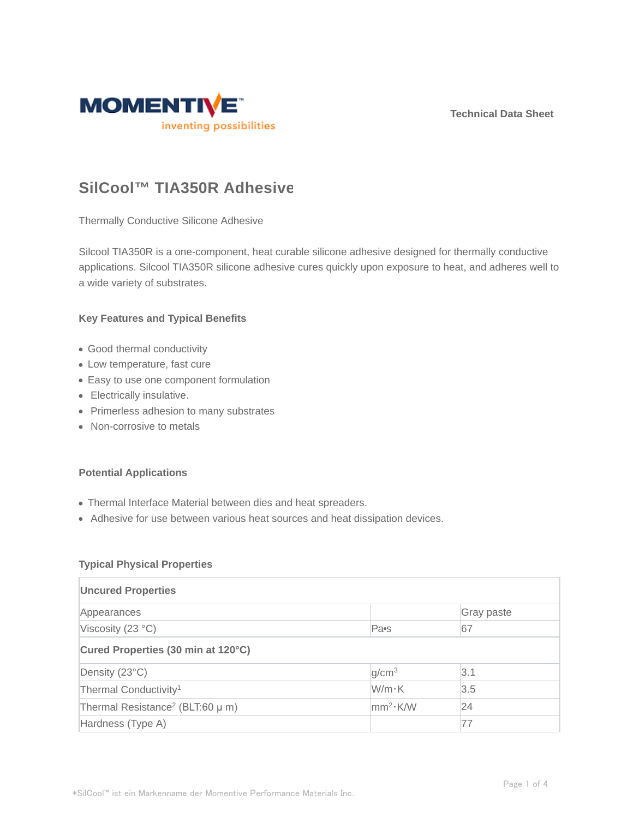**Technical Data Sheet**



# **SilCool™ TIA350R Adhesive**

Thermally Conductive Silicone Adhesive

Silcool TIA350R is a one-component, heat curable silicone adhesive designed for thermally conductive applications. Silcool TIA350R silicone adhesive cures quickly upon exposure to heat, and adheres well to a wide variety of substrates.

#### **Key Features and Typical Benefits**

- Good thermal conductivity
- Low temperature, fast cure
- Easy to use one component formulation
- Electrically insulative.
- Primerless adhesion to many substrates
- Non-corrosive to metals

#### **Potential Applications**

- Thermal Interface Material between dies and heat spreaders.
- Adhesive for use between various heat sources and heat dissipation devices.

#### **Typical Physical Properties**

| <b>Uncured Properties</b>                        |                      |            |  |  |  |
|--------------------------------------------------|----------------------|------------|--|--|--|
| Appearances                                      |                      | Gray paste |  |  |  |
| Viscosity (23 °C)                                | Pa <sub>s</sub>      | 67         |  |  |  |
| Cured Properties (30 min at 120°C)               |                      |            |  |  |  |
| Density (23°C)                                   | g/cm <sup>3</sup>    | 3.1        |  |  |  |
| Thermal Conductivity <sup>1</sup>                | W/m·K                | 3.5        |  |  |  |
| Thermal Resistance <sup>2</sup> (BLT:60 $\mu$ m) | mm <sup>2</sup> ·K/W | 24         |  |  |  |
| Hardness (Type A)                                |                      | 77         |  |  |  |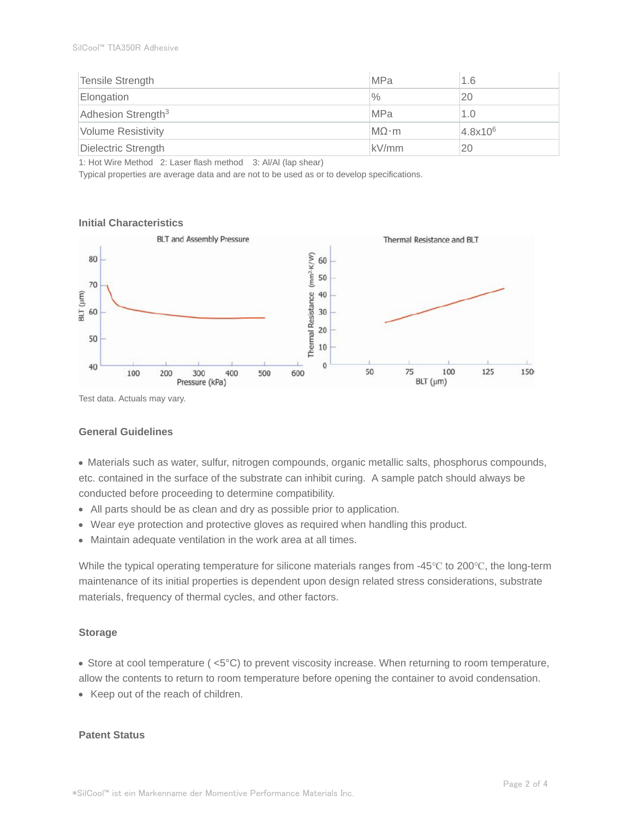| Tensile Strength               | <b>MPa</b>   | 1.6          |
|--------------------------------|--------------|--------------|
| Elongation                     | $\%$         | 20           |
| Adhesion Strength <sup>3</sup> | <b>MPa</b>   | 1.0          |
| <b>Volume Resistivity</b>      | $MO \cdot m$ | $4.8x10^{6}$ |
| Dielectric Strength            | kV/mm        | 20           |

1: Hot Wire Method 2: Laser flash method 3: Al/Al (lap shear)

Typical properties are average data and are not to be used as or to develop specifications.

#### **Initial Characteristics**



Test data. Actuals may vary.

#### **General Guidelines**

Materials such as water, sulfur, nitrogen compounds, organic metallic salts, phosphorus compounds, etc. contained in the surface of the substrate can inhibit curing. A sample patch should always be conducted before proceeding to determine compatibility.

- All parts should be as clean and dry as possible prior to application.
- Wear eye protection and protective gloves as required when handling this product.
- Maintain adequate ventilation in the work area at all times.

While the typical operating temperature for silicone materials ranges from -45°C to 200°C, the long-term maintenance of its initial properties is dependent upon design related stress considerations, substrate materials, frequency of thermal cycles, and other factors.

#### **Storage**

Store at cool temperature ( <5°C) to prevent viscosity increase. When returning to room temperature,

allow the contents to return to room temperature before opening the container to avoid condensation.

• Keep out of the reach of children.

#### **Patent Status**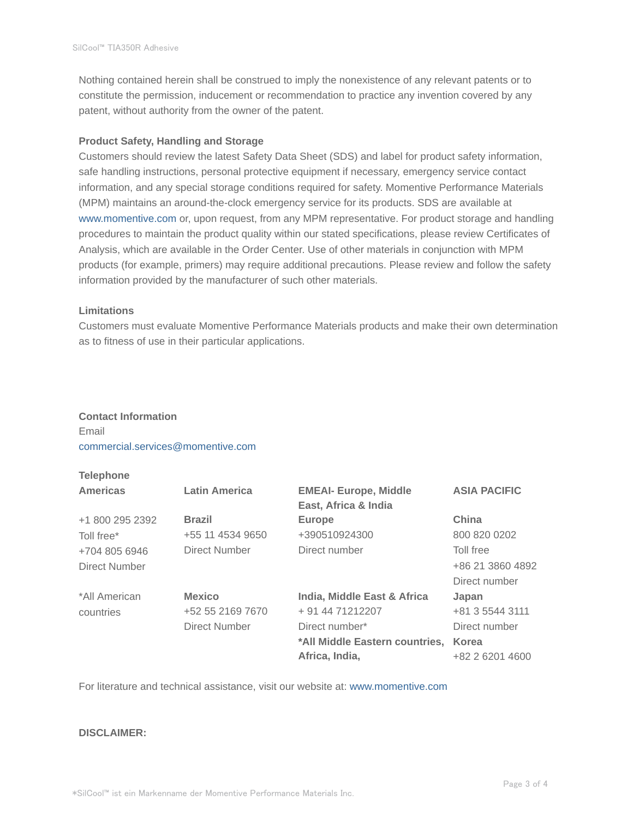Nothing contained herein shall be construed to imply the nonexistence of any relevant patents or to constitute the permission, inducement or recommendation to practice any invention covered by any patent, without authority from the owner of the patent.

#### **Product Safety, Handling and Storage**

Customers should review the latest Safety Data Sheet (SDS) and label for product safety information, safe handling instructions, personal protective equipment if necessary, emergency service contact information, and any special storage conditions required for safety. Momentive Performance Materials (MPM) maintains an around-the-clock emergency service for its products. SDS are available at www.momentive.com or, upon request, from any MPM representative. For product storage and handling procedures to maintain the product quality within our stated specifications, please review Certificates of Analysis, which are available in the Order Center. Use of other materials in conjunction with MPM products (for example, primers) may require additional precautions. Please review and follow the safety information provided by the manufacturer of such other materials.

#### **Limitations**

Customers must evaluate Momentive Performance Materials products and make their own determination as to fitness of use in their particular applications.

## **Contact Information** Email commercial.services@momentive.com

## **Telephone**

| <b>Americas</b> | <b>Latin America</b> | <b>EMEAI- Europe, Middle</b><br>East, Africa & India | <b>ASIA PACIFIC</b> |
|-----------------|----------------------|------------------------------------------------------|---------------------|
| +1 800 295 2392 | <b>Brazil</b>        | <b>Europe</b>                                        | China               |
| Toll free*      | +55 11 4534 9650     | +390510924300                                        | 800 820 0202        |
| +704 805 6946   | Direct Number        | Direct number                                        | Toll free           |
| Direct Number   |                      |                                                      | +86 21 3860 4892    |
|                 |                      |                                                      | Direct number       |
| *All American   | <b>Mexico</b>        | India, Middle East & Africa                          | Japan               |
| countries       | +52 55 2169 7670     | + 91 44 71212207                                     | +81 3 5544 3111     |
|                 | Direct Number        | Direct number*                                       | Direct number       |
|                 |                      | *All Middle Eastern countries,                       | Korea               |
|                 |                      | Africa, India,                                       | +82 2 6201 4600     |

For literature and technical assistance, visit our website at: www.momentive.com

### **DISCLAIMER:**